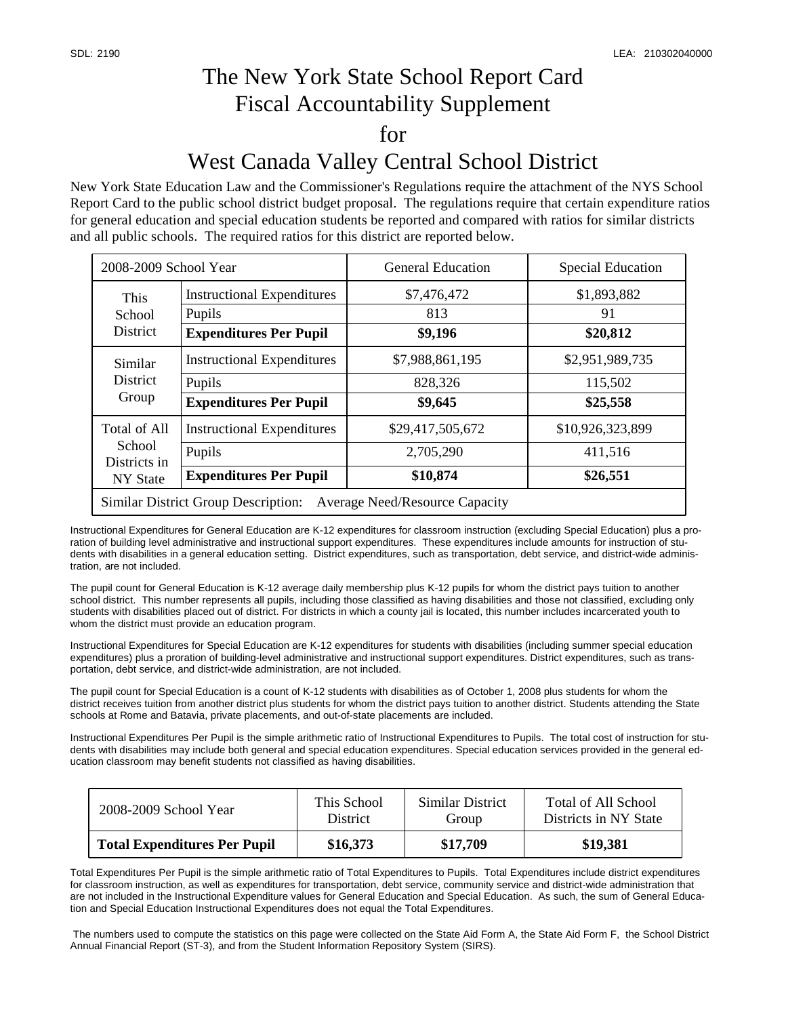## The New York State School Report Card Fiscal Accountability Supplement for West Canada Valley Central School District

New York State Education Law and the Commissioner's Regulations require the attachment of the NYS School Report Card to the public school district budget proposal. The regulations require that certain expenditure ratios for general education and special education students be reported and compared with ratios for similar districts and all public schools. The required ratios for this district are reported below.

| 2008-2009 School Year                                                               |                                   | <b>General Education</b> | <b>Special Education</b> |  |  |  |
|-------------------------------------------------------------------------------------|-----------------------------------|--------------------------|--------------------------|--|--|--|
| This<br>School<br>District                                                          | <b>Instructional Expenditures</b> | \$7,476,472              | \$1,893,882              |  |  |  |
|                                                                                     | Pupils                            | 813                      | 91                       |  |  |  |
|                                                                                     | <b>Expenditures Per Pupil</b>     | \$9,196                  | \$20,812                 |  |  |  |
| Similar<br><b>District</b><br>Group                                                 | <b>Instructional Expenditures</b> | \$7,988,861,195          | \$2,951,989,735          |  |  |  |
|                                                                                     | Pupils                            | 828,326                  | 115,502                  |  |  |  |
|                                                                                     | <b>Expenditures Per Pupil</b>     | \$9,645                  | \$25,558                 |  |  |  |
| <b>Total of All</b><br>School<br>Districts in<br><b>NY State</b>                    | <b>Instructional Expenditures</b> | \$29,417,505,672         | \$10,926,323,899         |  |  |  |
|                                                                                     | Pupils                            | 2,705,290                | 411,516                  |  |  |  |
|                                                                                     | <b>Expenditures Per Pupil</b>     | \$10,874                 | \$26,551                 |  |  |  |
| <b>Similar District Group Description:</b><br><b>Average Need/Resource Capacity</b> |                                   |                          |                          |  |  |  |

Instructional Expenditures for General Education are K-12 expenditures for classroom instruction (excluding Special Education) plus a proration of building level administrative and instructional support expenditures. These expenditures include amounts for instruction of students with disabilities in a general education setting. District expenditures, such as transportation, debt service, and district-wide administration, are not included.

The pupil count for General Education is K-12 average daily membership plus K-12 pupils for whom the district pays tuition to another school district. This number represents all pupils, including those classified as having disabilities and those not classified, excluding only students with disabilities placed out of district. For districts in which a county jail is located, this number includes incarcerated youth to whom the district must provide an education program.

Instructional Expenditures for Special Education are K-12 expenditures for students with disabilities (including summer special education expenditures) plus a proration of building-level administrative and instructional support expenditures. District expenditures, such as transportation, debt service, and district-wide administration, are not included.

The pupil count for Special Education is a count of K-12 students with disabilities as of October 1, 2008 plus students for whom the district receives tuition from another district plus students for whom the district pays tuition to another district. Students attending the State schools at Rome and Batavia, private placements, and out-of-state placements are included.

Instructional Expenditures Per Pupil is the simple arithmetic ratio of Instructional Expenditures to Pupils. The total cost of instruction for students with disabilities may include both general and special education expenditures. Special education services provided in the general education classroom may benefit students not classified as having disabilities.

| 2008-2009 School Year               | This School     | Similar District | Total of All School   |
|-------------------------------------|-----------------|------------------|-----------------------|
|                                     | <b>District</b> | Group            | Districts in NY State |
| <b>Total Expenditures Per Pupil</b> | \$16,373        | \$17,709         | \$19,381              |

Total Expenditures Per Pupil is the simple arithmetic ratio of Total Expenditures to Pupils. Total Expenditures include district expenditures for classroom instruction, as well as expenditures for transportation, debt service, community service and district-wide administration that are not included in the Instructional Expenditure values for General Education and Special Education. As such, the sum of General Education and Special Education Instructional Expenditures does not equal the Total Expenditures.

 The numbers used to compute the statistics on this page were collected on the State Aid Form A, the State Aid Form F, the School District Annual Financial Report (ST-3), and from the Student Information Repository System (SIRS).